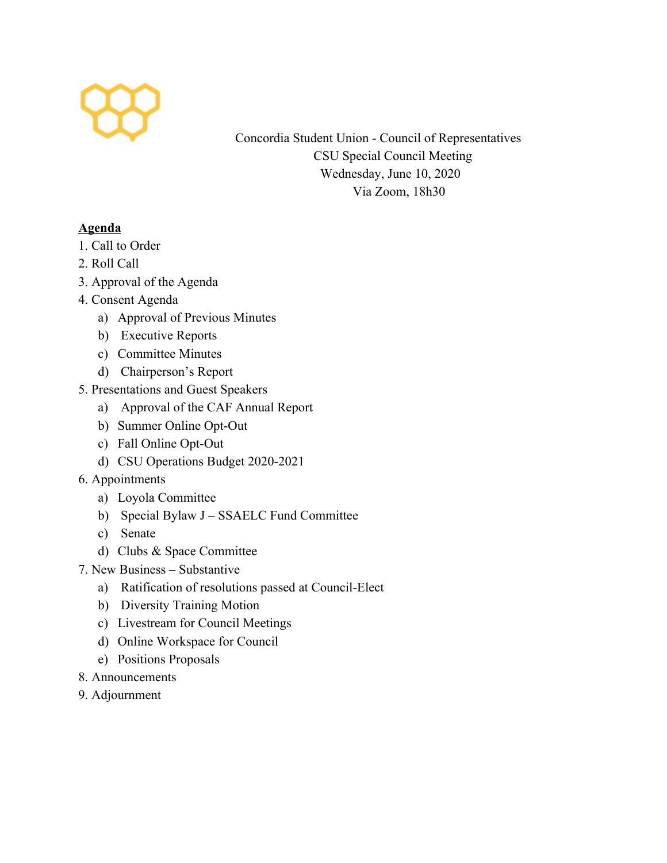

Concordia Student Union - Council of Representatives CSU Special Council Meeting Wednesday, June 10, 2020 Via Zoom, 18h30

## **Agenda**

- 1. Call to Order
- 2. Roll Call
- 3. Approval of the Agenda
- 4. Consent Agenda
	- a) Approval of Previous Minutes
	- b) Executive Reports
	- c) Committee Minutes
	- d) Chairperson's Report
- 5. Presentations and Guest Speakers
	- a) Approval of the CAF Annual Report
	- b) Summer Online Opt-Out
	- c) Fall Online Opt-Out
	- d) CSU Operations Budget 2020-2021
- 6. Appointments
	- a) Loyola Committee
	- b) Special Bylaw J SSAELC Fund Committee
	- c) Senate
	- d) Clubs & Space Committee
- 7. New Business Substantive
	- a) Ratification of resolutions passed at Council-Elect
	- b) Diversity Training Motion
	- c) Livestream for Council Meetings
	- d) Online Workspace for Council
	- e) Positions Proposals
- 8. Announcements
- 9. Adjournment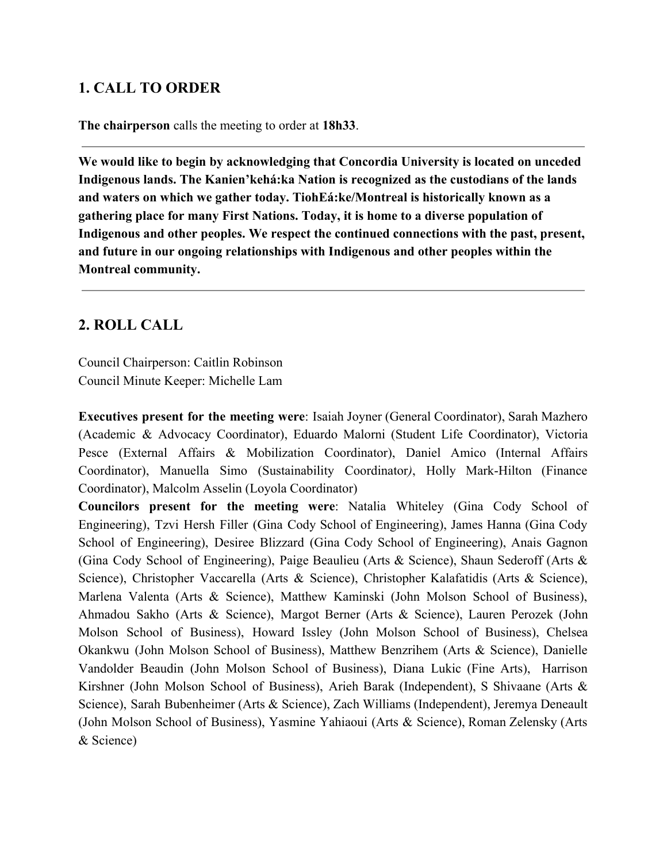## **1. CALL TO ORDER**

**The chairperson** calls the meeting to order at **18h33**.

**We would like to begin by acknowledging that Concordia University is located on unceded Indigenous lands. The Kanien'kehá:ka Nation is recognized as the custodians of the lands and waters on which we gather today. TiohEá:ke/Montreal is historically known as a gathering place for many First Nations. Today, it is home to a diverse population of Indigenous and other peoples. We respect the continued connections with the past, present, and future in our ongoing relationships with Indigenous and other peoples within the Montreal community.**

# **2. ROLL CALL**

Council Chairperson: Caitlin Robinson Council Minute Keeper: Michelle Lam

**Executives present for the meeting were**: Isaiah Joyner (General Coordinator), Sarah Mazhero (Academic & Advocacy Coordinator), Eduardo Malorni (Student Life Coordinator), Victoria Pesce (External Affairs & Mobilization Coordinator), Daniel Amico (Internal Affairs Coordinator), Manuella Simo (Sustainability Coordinator*)*, Holly Mark-Hilton (Finance Coordinator), Malcolm Asselin (Loyola Coordinator)

**Councilors present for the meeting were**: Natalia Whiteley (Gina Cody School of Engineering), Tzvi Hersh Filler (Gina Cody School of Engineering), James Hanna (Gina Cody School of Engineering), Desiree Blizzard (Gina Cody School of Engineering), Anais Gagnon (Gina Cody School of Engineering), Paige Beaulieu (Arts & Science), Shaun Sederoff (Arts & Science), Christopher Vaccarella (Arts & Science), Christopher Kalafatidis (Arts & Science), Marlena Valenta (Arts & Science), Matthew Kaminski (John Molson School of Business), Ahmadou Sakho (Arts & Science), Margot Berner (Arts & Science), Lauren Perozek (John Molson School of Business), Howard Issley (John Molson School of Business), Chelsea Okankwu (John Molson School of Business), Matthew Benzrihem (Arts & Science), Danielle Vandolder Beaudin (John Molson School of Business), Diana Lukic (Fine Arts), Harrison Kirshner (John Molson School of Business), Arieh Barak (Independent), S Shivaane (Arts & Science), Sarah Bubenheimer (Arts & Science), Zach Williams (Independent), Jeremya Deneault (John Molson School of Business), Yasmine Yahiaoui (Arts & Science), Roman Zelensky (Arts & Science)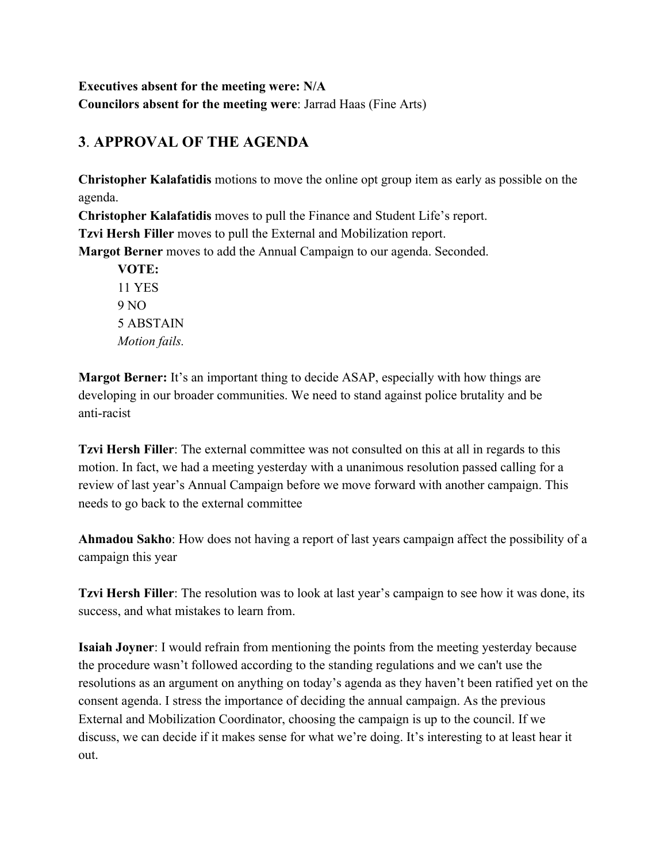**Executives absent for the meeting were: N/A Councilors absent for the meeting were**: Jarrad Haas (Fine Arts)

# **3**. **APPROVAL OF THE AGENDA**

**Christopher Kalafatidis** motions to move the online opt group item as early as possible on the agenda.

**Christopher Kalafatidis** moves to pull the Finance and Student Life's report. **Tzvi Hersh Filler** moves to pull the External and Mobilization report.

**Margot Berner** moves to add the Annual Campaign to our agenda. Seconded.

**VOTE:** 11 YES 9 NO 5 ABSTAIN *Motion fails.*

**Margot Berner:** It's an important thing to decide ASAP, especially with how things are developing in our broader communities. We need to stand against police brutality and be anti-racist

**Tzvi Hersh Filler**: The external committee was not consulted on this at all in regards to this motion. In fact, we had a meeting yesterday with a unanimous resolution passed calling for a review of last year's Annual Campaign before we move forward with another campaign. This needs to go back to the external committee

**Ahmadou Sakho**: How does not having a report of last years campaign affect the possibility of a campaign this year

**Tzvi Hersh Filler**: The resolution was to look at last year's campaign to see how it was done, its success, and what mistakes to learn from.

**Isaiah Joyner**: I would refrain from mentioning the points from the meeting yesterday because the procedure wasn't followed according to the standing regulations and we can't use the resolutions as an argument on anything on today's agenda as they haven't been ratified yet on the consent agenda. I stress the importance of deciding the annual campaign. As the previous External and Mobilization Coordinator, choosing the campaign is up to the council. If we discuss, we can decide if it makes sense for what we're doing. It's interesting to at least hear it out.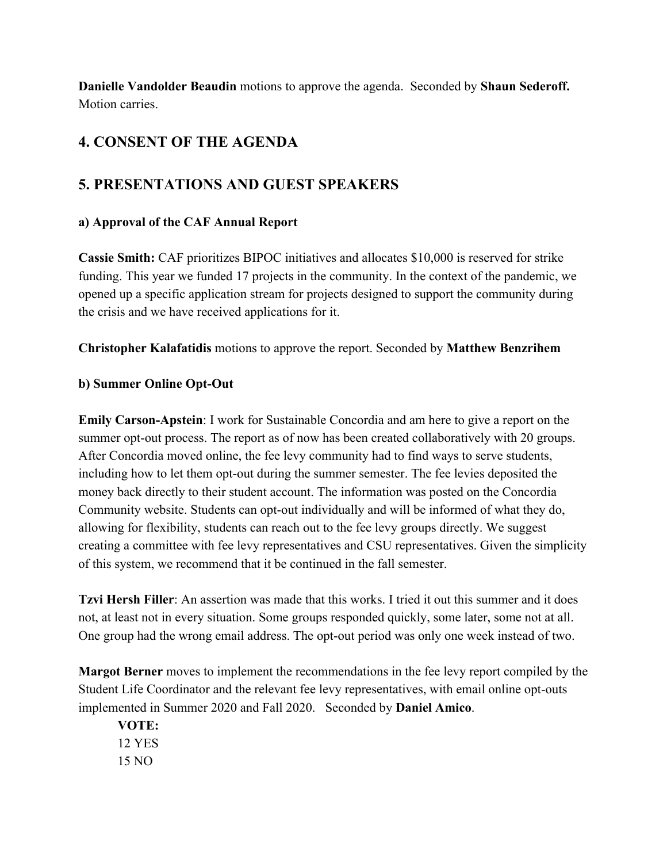**Danielle Vandolder Beaudin** motions to approve the agenda. Seconded by **Shaun Sederoff.** Motion carries.

# **4. CONSENT OF THE AGENDA**

# **5. PRESENTATIONS AND GUEST SPEAKERS**

### **a) Approval of the CAF Annual Report**

**Cassie Smith:** CAF prioritizes BIPOC initiatives and allocates \$10,000 is reserved for strike funding. This year we funded 17 projects in the community. In the context of the pandemic, we opened up a specific application stream for projects designed to support the community during the crisis and we have received applications for it.

**Christopher Kalafatidis** motions to approve the report. Seconded by **Matthew Benzrihem**

### **b) Summer Online Opt-Out**

**Emily Carson-Apstein**: I work for Sustainable Concordia and am here to give a report on the summer opt-out process. The report as of now has been created collaboratively with 20 groups. After Concordia moved online, the fee levy community had to find ways to serve students, including how to let them opt-out during the summer semester. The fee levies deposited the money back directly to their student account. The information was posted on the Concordia Community website. Students can opt-out individually and will be informed of what they do, allowing for flexibility, students can reach out to the fee levy groups directly. We suggest creating a committee with fee levy representatives and CSU representatives. Given the simplicity of this system, we recommend that it be continued in the fall semester.

**Tzvi Hersh Filler**: An assertion was made that this works. I tried it out this summer and it does not, at least not in every situation. Some groups responded quickly, some later, some not at all. One group had the wrong email address. The opt-out period was only one week instead of two.

**Margot Berner** moves to implement the recommendations in the fee levy report compiled by the Student Life Coordinator and the relevant fee levy representatives, with email online opt-outs implemented in Summer 2020 and Fall 2020. Seconded by **Daniel Amico**.

**VOTE:** 12 YES 15 NO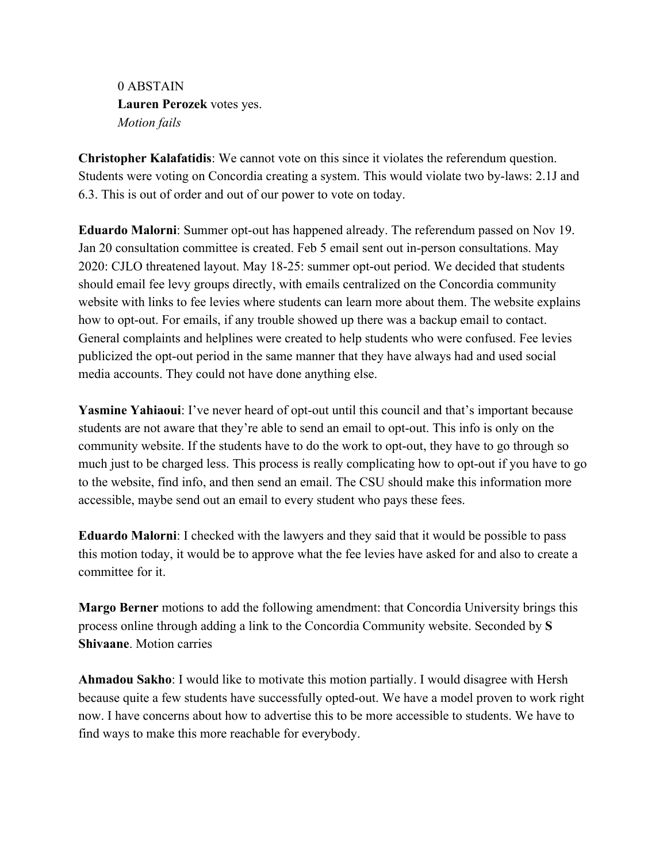0 ABSTAIN **Lauren Perozek** votes yes. *Motion fails*

**Christopher Kalafatidis**: We cannot vote on this since it violates the referendum question. Students were voting on Concordia creating a system. This would violate two by-laws: 2.1J and 6.3. This is out of order and out of our power to vote on today.

**Eduardo Malorni**: Summer opt-out has happened already. The referendum passed on Nov 19. Jan 20 consultation committee is created. Feb 5 email sent out in-person consultations. May 2020: CJLO threatened layout. May 18-25: summer opt-out period. We decided that students should email fee levy groups directly, with emails centralized on the Concordia community website with links to fee levies where students can learn more about them. The website explains how to opt-out. For emails, if any trouble showed up there was a backup email to contact. General complaints and helplines were created to help students who were confused. Fee levies publicized the opt-out period in the same manner that they have always had and used social media accounts. They could not have done anything else.

**Yasmine Yahiaoui**: I've never heard of opt-out until this council and that's important because students are not aware that they're able to send an email to opt-out. This info is only on the community website. If the students have to do the work to opt-out, they have to go through so much just to be charged less. This process is really complicating how to opt-out if you have to go to the website, find info, and then send an email. The CSU should make this information more accessible, maybe send out an email to every student who pays these fees.

**Eduardo Malorni**: I checked with the lawyers and they said that it would be possible to pass this motion today, it would be to approve what the fee levies have asked for and also to create a committee for it.

**Margo Berner** motions to add the following amendment: that Concordia University brings this process online through adding a link to the Concordia Community website. Seconded by **S Shivaane**. Motion carries

**Ahmadou Sakho**: I would like to motivate this motion partially. I would disagree with Hersh because quite a few students have successfully opted-out. We have a model proven to work right now. I have concerns about how to advertise this to be more accessible to students. We have to find ways to make this more reachable for everybody.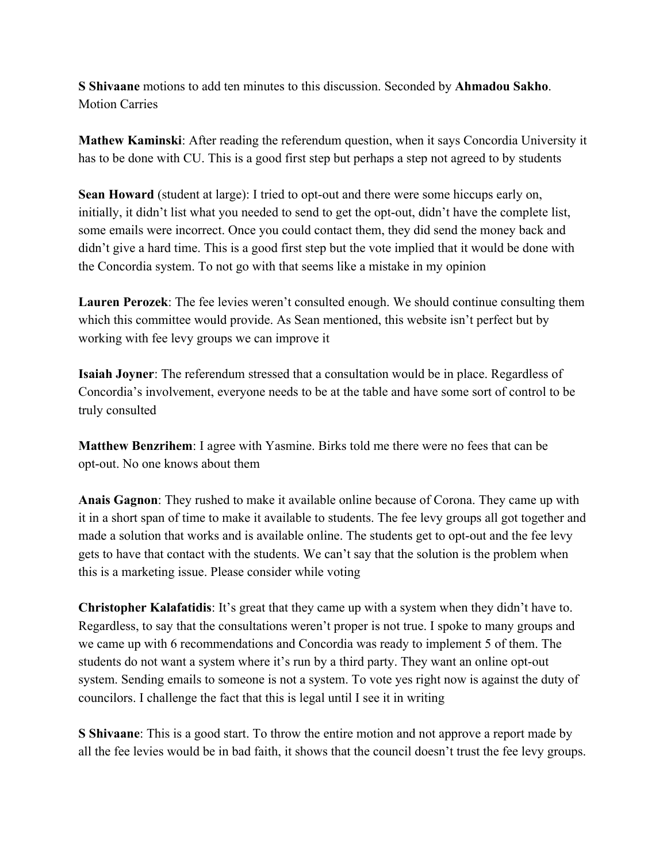**S Shivaane** motions to add ten minutes to this discussion. Seconded by **Ahmadou Sakho**. Motion Carries

**Mathew Kaminski**: After reading the referendum question, when it says Concordia University it has to be done with CU. This is a good first step but perhaps a step not agreed to by students

**Sean Howard** (student at large): I tried to opt-out and there were some hiccups early on, initially, it didn't list what you needed to send to get the opt-out, didn't have the complete list, some emails were incorrect. Once you could contact them, they did send the money back and didn't give a hard time. This is a good first step but the vote implied that it would be done with the Concordia system. To not go with that seems like a mistake in my opinion

**Lauren Perozek**: The fee levies weren't consulted enough. We should continue consulting them which this committee would provide. As Sean mentioned, this website isn't perfect but by working with fee levy groups we can improve it

**Isaiah Joyner**: The referendum stressed that a consultation would be in place. Regardless of Concordia's involvement, everyone needs to be at the table and have some sort of control to be truly consulted

**Matthew Benzrihem**: I agree with Yasmine. Birks told me there were no fees that can be opt-out. No one knows about them

**Anais Gagnon**: They rushed to make it available online because of Corona. They came up with it in a short span of time to make it available to students. The fee levy groups all got together and made a solution that works and is available online. The students get to opt-out and the fee levy gets to have that contact with the students. We can't say that the solution is the problem when this is a marketing issue. Please consider while voting

**Christopher Kalafatidis**: It's great that they came up with a system when they didn't have to. Regardless, to say that the consultations weren't proper is not true. I spoke to many groups and we came up with 6 recommendations and Concordia was ready to implement 5 of them. The students do not want a system where it's run by a third party. They want an online opt-out system. Sending emails to someone is not a system. To vote yes right now is against the duty of councilors. I challenge the fact that this is legal until I see it in writing

**S Shivaane**: This is a good start. To throw the entire motion and not approve a report made by all the fee levies would be in bad faith, it shows that the council doesn't trust the fee levy groups.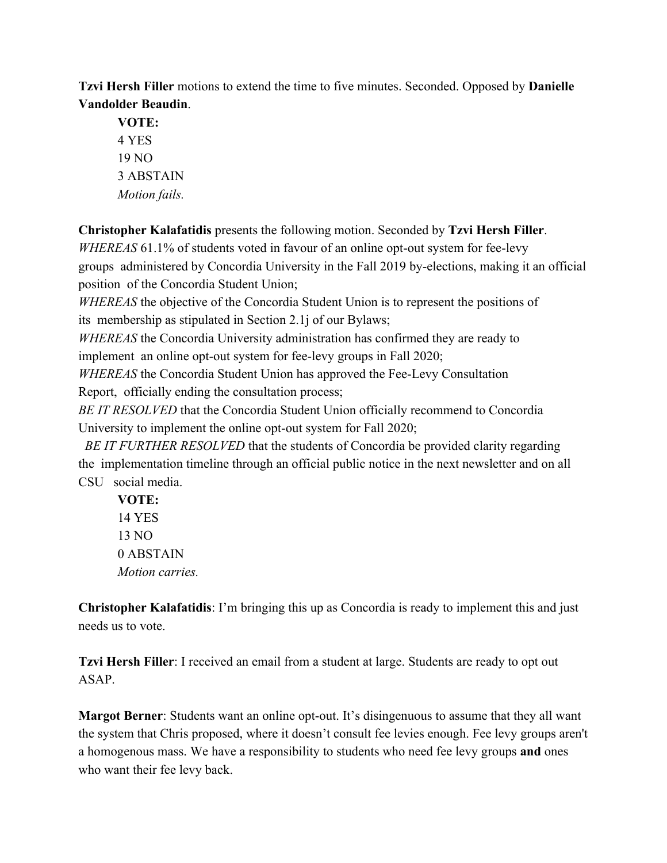**Tzvi Hersh Filler** motions to extend the time to five minutes. Seconded. Opposed by **Danielle Vandolder Beaudin**.

**VOTE:** 4 YES 19 NO 3 ABSTAIN *Motion fails.*

**Christopher Kalafatidis** presents the following motion. Seconded by **Tzvi Hersh Filler**. *WHEREAS* 61.1% of students voted in favour of an online opt-out system for fee-levy groups administered by Concordia University in the Fall 2019 by-elections, making it an official position of the Concordia Student Union;

*WHEREAS* the objective of the Concordia Student Union is to represent the positions of its membership as stipulated in Section 2.1j of our Bylaws;

*WHEREAS* the Concordia University administration has confirmed they are ready to implement an online opt-out system for fee-levy groups in Fall 2020;

*WHEREAS* the Concordia Student Union has approved the Fee-Levy Consultation Report, officially ending the consultation process;

*BE IT RESOLVED* that the Concordia Student Union officially recommend to Concordia University to implement the online opt-out system for Fall 2020;

*BE IT FURTHER RESOLVED* that the students of Concordia be provided clarity regarding the implementation timeline through an official public notice in the next newsletter and on all CSU social media.

**VOTE:** 14 YES 13 NO 0 ABSTAIN *Motion carries.*

**Christopher Kalafatidis**: I'm bringing this up as Concordia is ready to implement this and just needs us to vote.

**Tzvi Hersh Filler**: I received an email from a student at large. Students are ready to opt out ASAP.

**Margot Berner**: Students want an online opt-out. It's disingenuous to assume that they all want the system that Chris proposed, where it doesn't consult fee levies enough. Fee levy groups aren't a homogenous mass. We have a responsibility to students who need fee levy groups **and** ones who want their fee levy back.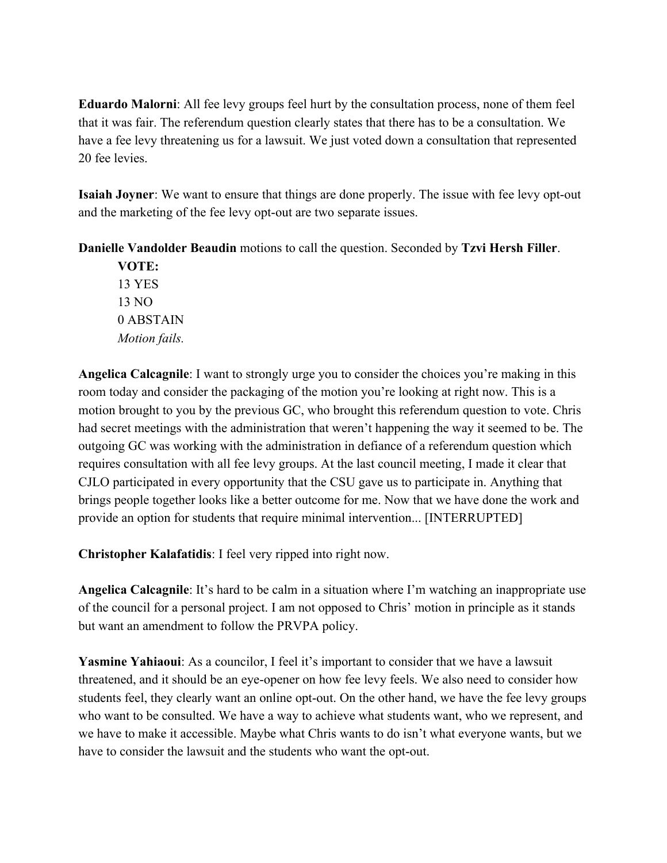**Eduardo Malorni**: All fee levy groups feel hurt by the consultation process, none of them feel that it was fair. The referendum question clearly states that there has to be a consultation. We have a fee levy threatening us for a lawsuit. We just voted down a consultation that represented 20 fee levies.

**Isaiah Joyner**: We want to ensure that things are done properly. The issue with fee levy opt-out and the marketing of the fee levy opt-out are two separate issues.

**Danielle Vandolder Beaudin** motions to call the question. Seconded by **Tzvi Hersh Filler**.

**VOTE:** 13 YES 13 NO 0 ABSTAIN *Motion fails.*

**Angelica Calcagnile**: I want to strongly urge you to consider the choices you're making in this room today and consider the packaging of the motion you're looking at right now. This is a motion brought to you by the previous GC, who brought this referendum question to vote. Chris had secret meetings with the administration that weren't happening the way it seemed to be. The outgoing GC was working with the administration in defiance of a referendum question which requires consultation with all fee levy groups. At the last council meeting, I made it clear that CJLO participated in every opportunity that the CSU gave us to participate in. Anything that brings people together looks like a better outcome for me. Now that we have done the work and provide an option for students that require minimal intervention... [INTERRUPTED]

**Christopher Kalafatidis**: I feel very ripped into right now.

**Angelica Calcagnile**: It's hard to be calm in a situation where I'm watching an inappropriate use of the council for a personal project. I am not opposed to Chris' motion in principle as it stands but want an amendment to follow the PRVPA policy.

**Yasmine Yahiaoui**: As a councilor, I feel it's important to consider that we have a lawsuit threatened, and it should be an eye-opener on how fee levy feels. We also need to consider how students feel, they clearly want an online opt-out. On the other hand, we have the fee levy groups who want to be consulted. We have a way to achieve what students want, who we represent, and we have to make it accessible. Maybe what Chris wants to do isn't what everyone wants, but we have to consider the lawsuit and the students who want the opt-out.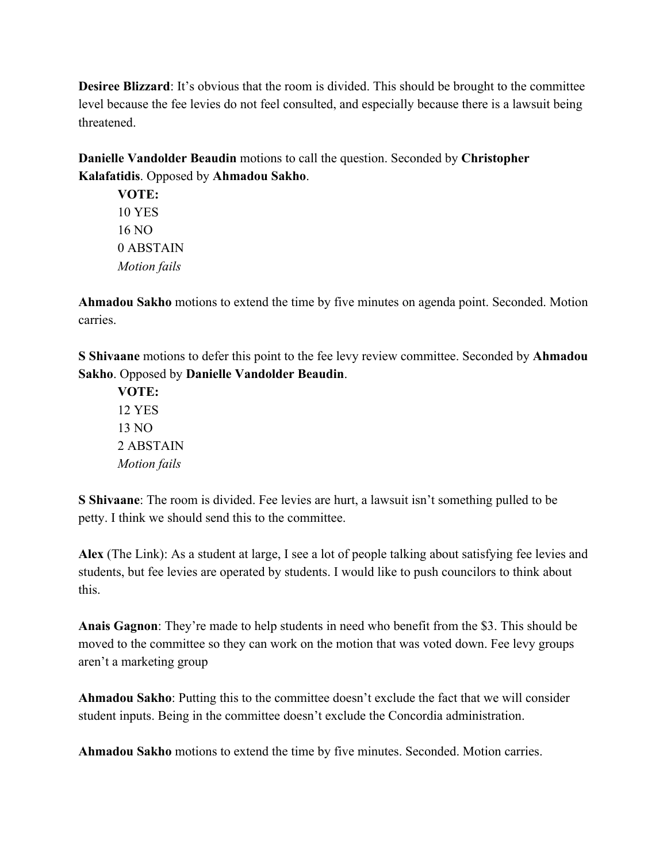**Desiree Blizzard**: It's obvious that the room is divided. This should be brought to the committee level because the fee levies do not feel consulted, and especially because there is a lawsuit being threatened.

**Danielle Vandolder Beaudin** motions to call the question. Seconded by **Christopher Kalafatidis**. Opposed by **Ahmadou Sakho**.

**VOTE:** 10 YES 16 NO 0 ABSTAIN *Motion fails*

**Ahmadou Sakho** motions to extend the time by five minutes on agenda point. Seconded. Motion carries.

**S Shivaane** motions to defer this point to the fee levy review committee. Seconded by **Ahmadou Sakho**. Opposed by **Danielle Vandolder Beaudin**.

**VOTE:** 12 YES 13 NO 2 ABSTAIN *Motion fails*

**S Shivaane**: The room is divided. Fee levies are hurt, a lawsuit isn't something pulled to be petty. I think we should send this to the committee.

**Alex** (The Link): As a student at large, I see a lot of people talking about satisfying fee levies and students, but fee levies are operated by students. I would like to push councilors to think about this.

**Anais Gagnon**: They're made to help students in need who benefit from the \$3. This should be moved to the committee so they can work on the motion that was voted down. Fee levy groups aren't a marketing group

**Ahmadou Sakho**: Putting this to the committee doesn't exclude the fact that we will consider student inputs. Being in the committee doesn't exclude the Concordia administration.

**Ahmadou Sakho** motions to extend the time by five minutes. Seconded. Motion carries.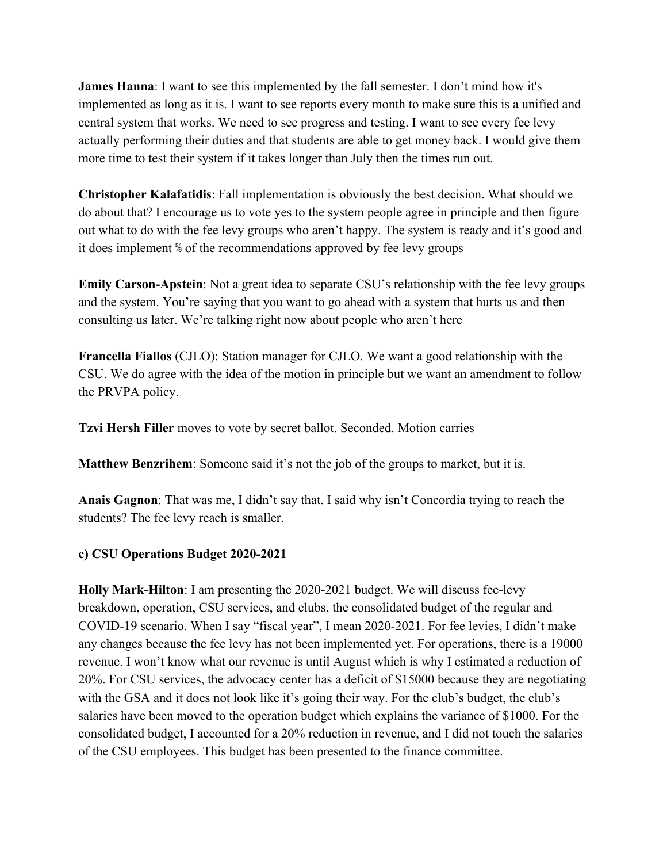**James Hanna**: I want to see this implemented by the fall semester. I don't mind how it's implemented as long as it is. I want to see reports every month to make sure this is a unified and central system that works. We need to see progress and testing. I want to see every fee levy actually performing their duties and that students are able to get money back. I would give them more time to test their system if it takes longer than July then the times run out.

**Christopher Kalafatidis**: Fall implementation is obviously the best decision. What should we do about that? I encourage us to vote yes to the system people agree in principle and then figure out what to do with the fee levy groups who aren't happy. The system is ready and it's good and it does implement ⅚ of the recommendations approved by fee levy groups

**Emily Carson-Apstein**: Not a great idea to separate CSU's relationship with the fee levy groups and the system. You're saying that you want to go ahead with a system that hurts us and then consulting us later. We're talking right now about people who aren't here

**Francella Fiallos** (CJLO): Station manager for CJLO. We want a good relationship with the CSU. We do agree with the idea of the motion in principle but we want an amendment to follow the PRVPA policy.

**Tzvi Hersh Filler** moves to vote by secret ballot. Seconded. Motion carries

**Matthew Benzrihem**: Someone said it's not the job of the groups to market, but it is.

**Anais Gagnon**: That was me, I didn't say that. I said why isn't Concordia trying to reach the students? The fee levy reach is smaller.

#### **c) CSU Operations Budget 2020-2021**

**Holly Mark-Hilton**: I am presenting the 2020-2021 budget. We will discuss fee-levy breakdown, operation, CSU services, and clubs, the consolidated budget of the regular and COVID-19 scenario. When I say "fiscal year", I mean 2020-2021. For fee levies, I didn't make any changes because the fee levy has not been implemented yet. For operations, there is a 19000 revenue. I won't know what our revenue is until August which is why I estimated a reduction of 20%. For CSU services, the advocacy center has a deficit of \$15000 because they are negotiating with the GSA and it does not look like it's going their way. For the club's budget, the club's salaries have been moved to the operation budget which explains the variance of \$1000. For the consolidated budget, I accounted for a 20% reduction in revenue, and I did not touch the salaries of the CSU employees. This budget has been presented to the finance committee.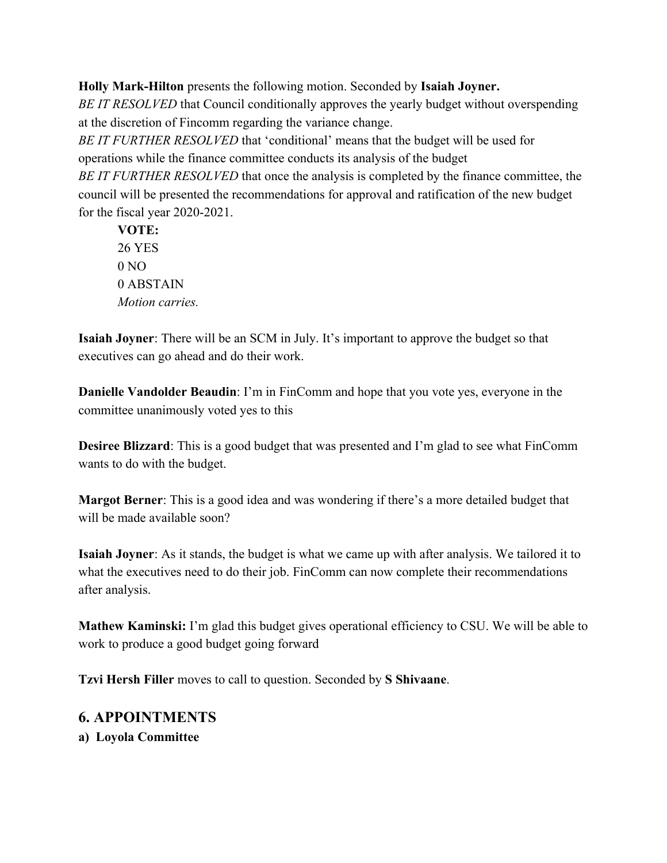**Holly Mark-Hilton** presents the following motion. Seconded by **Isaiah Joyner.**

*BE IT RESOLVED* that Council conditionally approves the yearly budget without overspending at the discretion of Fincomm regarding the variance change.

*BE IT FURTHER RESOLVED* that 'conditional' means that the budget will be used for operations while the finance committee conducts its analysis of the budget

*BE IT FURTHER RESOLVED* that once the analysis is completed by the finance committee, the council will be presented the recommendations for approval and ratification of the new budget for the fiscal year 2020-2021.

**VOTE:** 26 YES  $0 NQ$ 0 ABSTAIN *Motion carries.*

**Isaiah Joyner**: There will be an SCM in July. It's important to approve the budget so that executives can go ahead and do their work.

**Danielle Vandolder Beaudin**: I'm in FinComm and hope that you vote yes, everyone in the committee unanimously voted yes to this

**Desiree Blizzard**: This is a good budget that was presented and I'm glad to see what FinComm wants to do with the budget.

**Margot Berner**: This is a good idea and was wondering if there's a more detailed budget that will be made available soon?

**Isaiah Joyner**: As it stands, the budget is what we came up with after analysis. We tailored it to what the executives need to do their job. FinComm can now complete their recommendations after analysis.

**Mathew Kaminski:** I'm glad this budget gives operational efficiency to CSU. We will be able to work to produce a good budget going forward

**Tzvi Hersh Filler** moves to call to question. Seconded by **S Shivaane**.

### **6. APPOINTMENTS**

**a) Loyola Committee**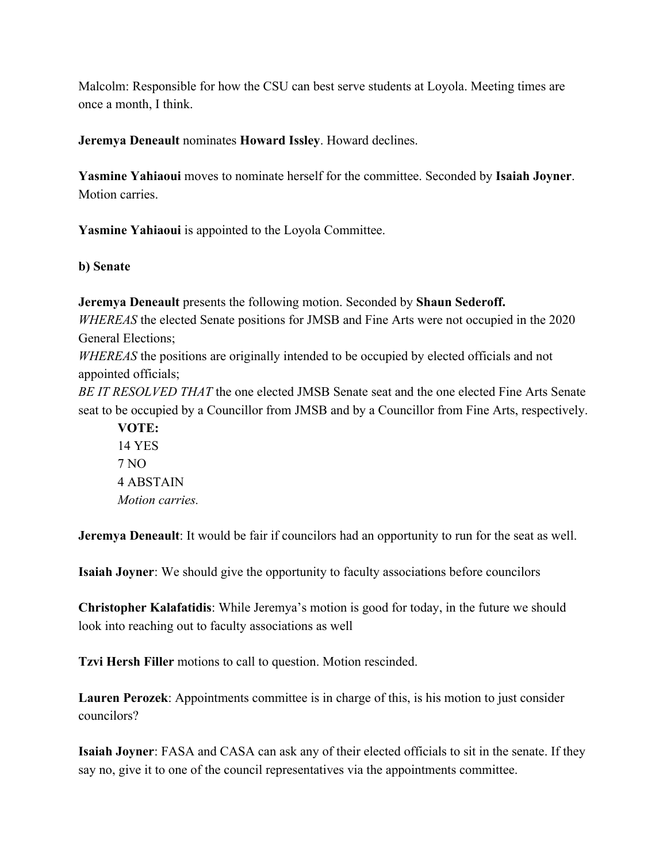Malcolm: Responsible for how the CSU can best serve students at Loyola. Meeting times are once a month, I think.

**Jeremya Deneault** nominates **Howard Issley**. Howard declines.

**Yasmine Yahiaoui** moves to nominate herself for the committee. Seconded by **Isaiah Joyner**. Motion carries.

**Yasmine Yahiaoui** is appointed to the Loyola Committee.

**b) Senate**

**Jeremya Deneault** presents the following motion. Seconded by **Shaun Sederoff.** *WHEREAS* the elected Senate positions for JMSB and Fine Arts were not occupied in the 2020 General Elections; *WHEREAS* the positions are originally intended to be occupied by elected officials and not appointed officials; *BE IT RESOLVED THAT* the one elected JMSB Senate seat and the one elected Fine Arts Senate seat to be occupied by a Councillor from JMSB and by a Councillor from Fine Arts, respectively. **VOTE:**

14 YES 7 NO 4 ABSTAIN *Motion carries.*

**Jeremya Deneault**: It would be fair if councilors had an opportunity to run for the seat as well.

**Isaiah Joyner**: We should give the opportunity to faculty associations before councilors

**Christopher Kalafatidis**: While Jeremya's motion is good for today, in the future we should look into reaching out to faculty associations as well

**Tzvi Hersh Filler** motions to call to question. Motion rescinded.

**Lauren Perozek**: Appointments committee is in charge of this, is his motion to just consider councilors?

**Isaiah Joyner**: FASA and CASA can ask any of their elected officials to sit in the senate. If they say no, give it to one of the council representatives via the appointments committee.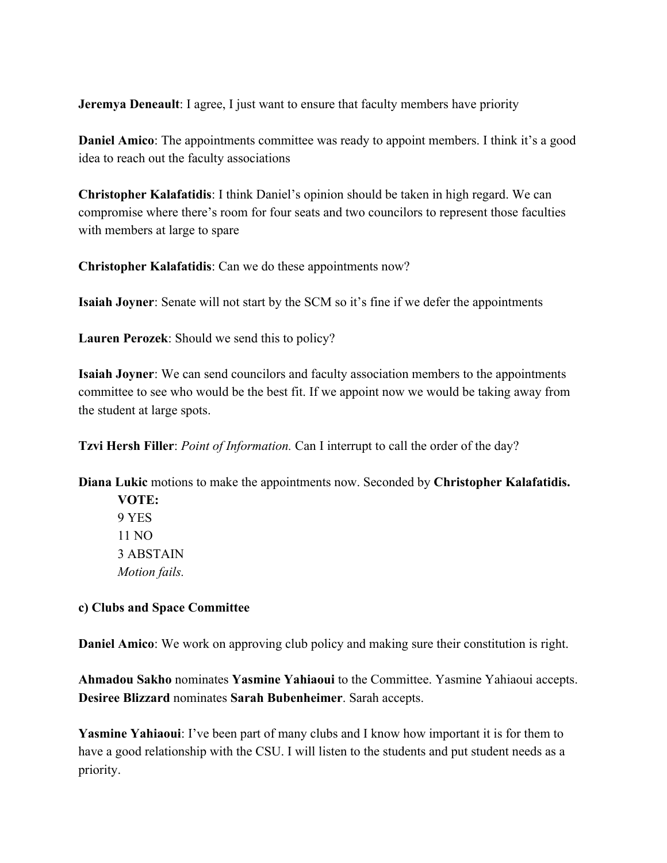**Jeremya Deneault**: I agree, I just want to ensure that faculty members have priority

**Daniel Amico**: The appointments committee was ready to appoint members. I think it's a good idea to reach out the faculty associations

**Christopher Kalafatidis**: I think Daniel's opinion should be taken in high regard. We can compromise where there's room for four seats and two councilors to represent those faculties with members at large to spare

**Christopher Kalafatidis**: Can we do these appointments now?

**Isaiah Joyner**: Senate will not start by the SCM so it's fine if we defer the appointments

**Lauren Perozek**: Should we send this to policy?

**Isaiah Joyner**: We can send councilors and faculty association members to the appointments committee to see who would be the best fit. If we appoint now we would be taking away from the student at large spots.

**Tzvi Hersh Filler**: *Point of Information.* Can I interrupt to call the order of the day?

**Diana Lukic** motions to make the appointments now. Seconded by **Christopher Kalafatidis.**

**VOTE:** 9 YES 11 NO 3 ABSTAIN *Motion fails.*

#### **c) Clubs and Space Committee**

**Daniel Amico**: We work on approving club policy and making sure their constitution is right.

**Ahmadou Sakho** nominates **Yasmine Yahiaoui** to the Committee. Yasmine Yahiaoui accepts. **Desiree Blizzard** nominates **Sarah Bubenheimer**. Sarah accepts.

**Yasmine Yahiaoui**: I've been part of many clubs and I know how important it is for them to have a good relationship with the CSU. I will listen to the students and put student needs as a priority.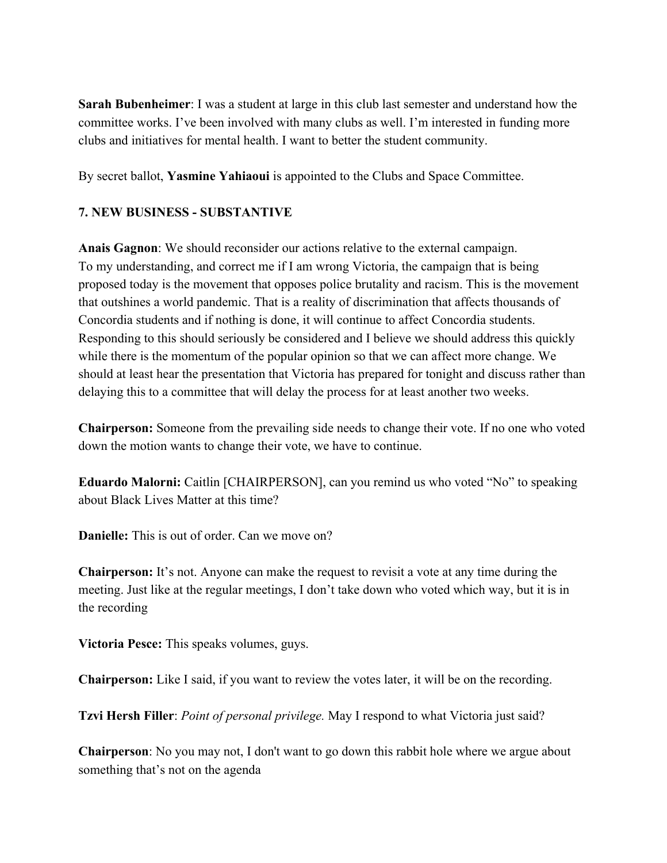**Sarah Bubenheimer**: I was a student at large in this club last semester and understand how the committee works. I've been involved with many clubs as well. I'm interested in funding more clubs and initiatives for mental health. I want to better the student community.

By secret ballot, **Yasmine Yahiaoui** is appointed to the Clubs and Space Committee.

#### **7. NEW BUSINESS - SUBSTANTIVE**

**Anais Gagnon**: We should reconsider our actions relative to the external campaign. To my understanding, and correct me if I am wrong Victoria, the campaign that is being proposed today is the movement that opposes police brutality and racism. This is the movement that outshines a world pandemic. That is a reality of discrimination that affects thousands of Concordia students and if nothing is done, it will continue to affect Concordia students. Responding to this should seriously be considered and I believe we should address this quickly while there is the momentum of the popular opinion so that we can affect more change. We should at least hear the presentation that Victoria has prepared for tonight and discuss rather than delaying this to a committee that will delay the process for at least another two weeks.

**Chairperson:** Someone from the prevailing side needs to change their vote. If no one who voted down the motion wants to change their vote, we have to continue.

**Eduardo Malorni:** Caitlin [CHAIRPERSON], can you remind us who voted "No" to speaking about Black Lives Matter at this time?

**Danielle:** This is out of order. Can we move on?

**Chairperson:** It's not. Anyone can make the request to revisit a vote at any time during the meeting. Just like at the regular meetings, I don't take down who voted which way, but it is in the recording

**Victoria Pesce:** This speaks volumes, guys.

**Chairperson:** Like I said, if you want to review the votes later, it will be on the recording.

**Tzvi Hersh Filler**: *Point of personal privilege.* May I respond to what Victoria just said?

**Chairperson**: No you may not, I don't want to go down this rabbit hole where we argue about something that's not on the agenda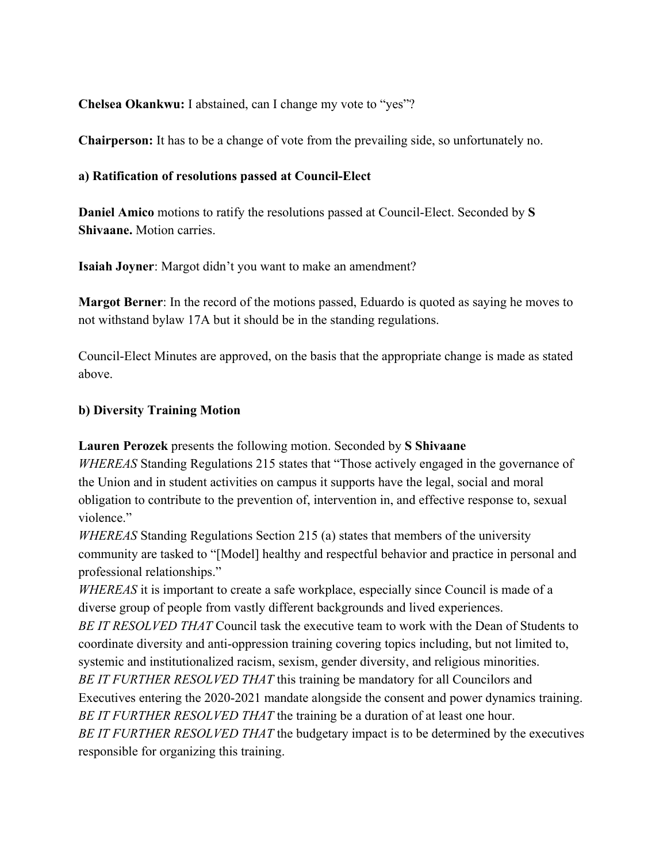**Chelsea Okankwu:** I abstained, can I change my vote to "yes"?

**Chairperson:** It has to be a change of vote from the prevailing side, so unfortunately no.

### **a) Ratification of resolutions passed at Council-Elect**

**Daniel Amico** motions to ratify the resolutions passed at Council-Elect. Seconded by **S Shivaane.** Motion carries.

**Isaiah Joyner**: Margot didn't you want to make an amendment?

**Margot Berner**: In the record of the motions passed, Eduardo is quoted as saying he moves to not withstand bylaw 17A but it should be in the standing regulations.

Council-Elect Minutes are approved, on the basis that the appropriate change is made as stated above.

### **b) Diversity Training Motion**

**Lauren Perozek** presents the following motion. Seconded by **S Shivaane**

*WHEREAS* Standing Regulations 215 states that "Those actively engaged in the governance of the Union and in student activities on campus it supports have the legal, social and moral obligation to contribute to the prevention of, intervention in, and effective response to, sexual violence."

*WHEREAS* Standing Regulations Section 215 (a) states that members of the university community are tasked to "[Model] healthy and respectful behavior and practice in personal and professional relationships."

*WHEREAS* it is important to create a safe workplace, especially since Council is made of a diverse group of people from vastly different backgrounds and lived experiences. *BE IT RESOLVED THAT* Council task the executive team to work with the Dean of Students to coordinate diversity and anti-oppression training covering topics including, but not limited to, systemic and institutionalized racism, sexism, gender diversity, and religious minorities. *BE IT FURTHER RESOLVED THAT* this training be mandatory for all Councilors and Executives entering the 2020-2021 mandate alongside the consent and power dynamics training.

*BE IT FURTHER RESOLVED THAT* the training be a duration of at least one hour. *BE IT FURTHER RESOLVED THAT* the budgetary impact is to be determined by the executives

responsible for organizing this training.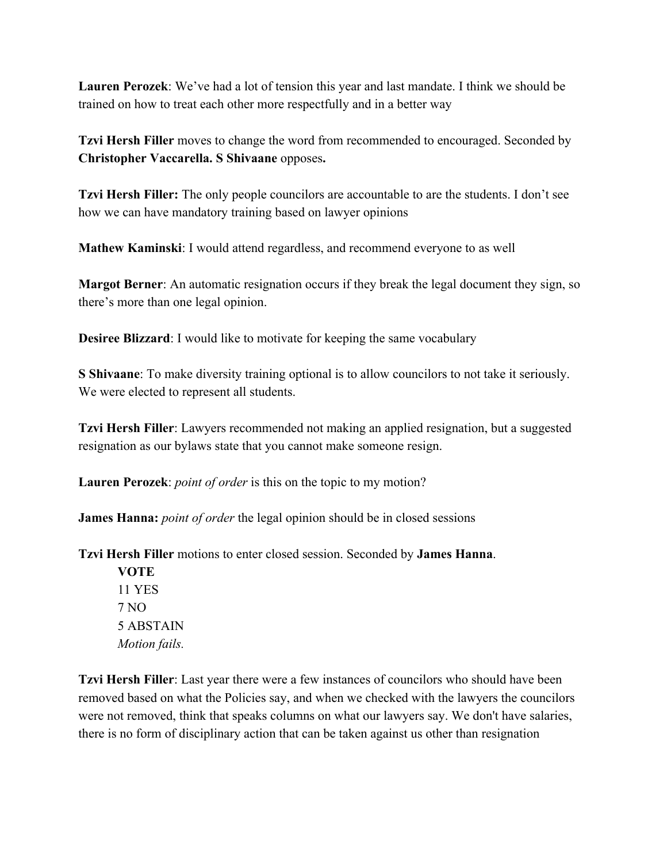**Lauren Perozek**: We've had a lot of tension this year and last mandate. I think we should be trained on how to treat each other more respectfully and in a better way

**Tzvi Hersh Filler** moves to change the word from recommended to encouraged. Seconded by **Christopher Vaccarella. S Shivaane** opposes**.**

**Tzvi Hersh Filler:** The only people councilors are accountable to are the students. I don't see how we can have mandatory training based on lawyer opinions

**Mathew Kaminski**: I would attend regardless, and recommend everyone to as well

**Margot Berner**: An automatic resignation occurs if they break the legal document they sign, so there's more than one legal opinion.

**Desiree Blizzard**: I would like to motivate for keeping the same vocabulary

**S Shivaane**: To make diversity training optional is to allow councilors to not take it seriously. We were elected to represent all students.

**Tzvi Hersh Filler**: Lawyers recommended not making an applied resignation, but a suggested resignation as our bylaws state that you cannot make someone resign.

**Lauren Perozek**: *point of order* is this on the topic to my motion?

**James Hanna:** *point of order* the legal opinion should be in closed sessions

**Tzvi Hersh Filler** motions to enter closed session. Seconded by **James Hanna**.

**VOTE** 11 YES 7 NO 5 ABSTAIN *Motion fails.*

**Tzvi Hersh Filler**: Last year there were a few instances of councilors who should have been removed based on what the Policies say, and when we checked with the lawyers the councilors were not removed, think that speaks columns on what our lawyers say. We don't have salaries, there is no form of disciplinary action that can be taken against us other than resignation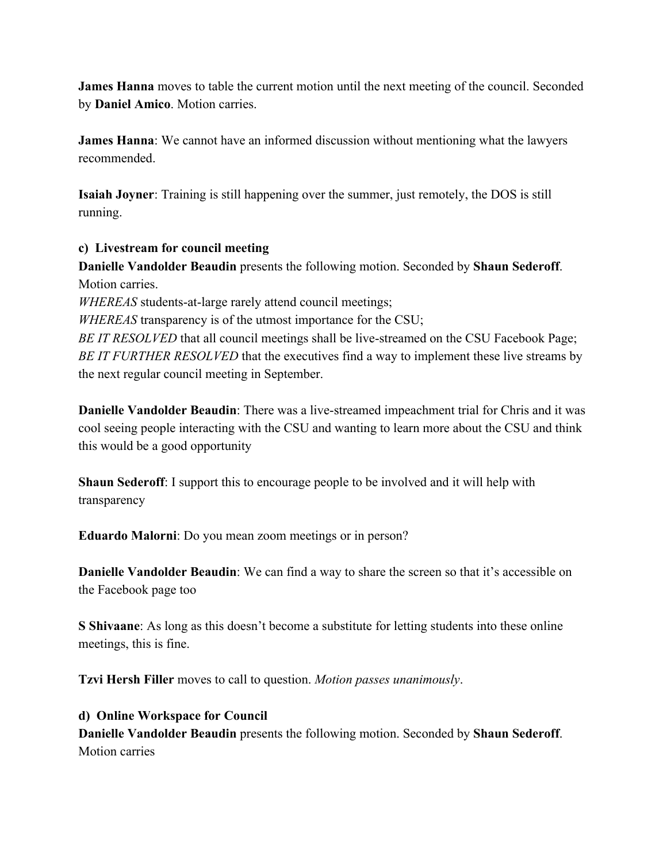**James Hanna** moves to table the current motion until the next meeting of the council. Seconded by **Daniel Amico**. Motion carries.

**James Hanna**: We cannot have an informed discussion without mentioning what the lawyers recommended.

**Isaiah Joyner**: Training is still happening over the summer, just remotely, the DOS is still running.

### **c) Livestream for council meeting**

**Danielle Vandolder Beaudin** presents the following motion. Seconded by **Shaun Sederoff**. Motion carries.

*WHEREAS* students-at-large rarely attend council meetings;

*WHEREAS* transparency is of the utmost importance for the CSU;

*BE IT RESOLVED* that all council meetings shall be live-streamed on the CSU Facebook Page; *BE IT FURTHER RESOLVED* that the executives find a way to implement these live streams by the next regular council meeting in September.

**Danielle Vandolder Beaudin**: There was a live-streamed impeachment trial for Chris and it was cool seeing people interacting with the CSU and wanting to learn more about the CSU and think this would be a good opportunity

**Shaun Sederoff**: I support this to encourage people to be involved and it will help with transparency

**Eduardo Malorni**: Do you mean zoom meetings or in person?

**Danielle Vandolder Beaudin**: We can find a way to share the screen so that it's accessible on the Facebook page too

**S Shivaane**: As long as this doesn't become a substitute for letting students into these online meetings, this is fine.

**Tzvi Hersh Filler** moves to call to question. *Motion passes unanimously*.

**d) Online Workspace for Council Danielle Vandolder Beaudin** presents the following motion. Seconded by **Shaun Sederoff**. Motion carries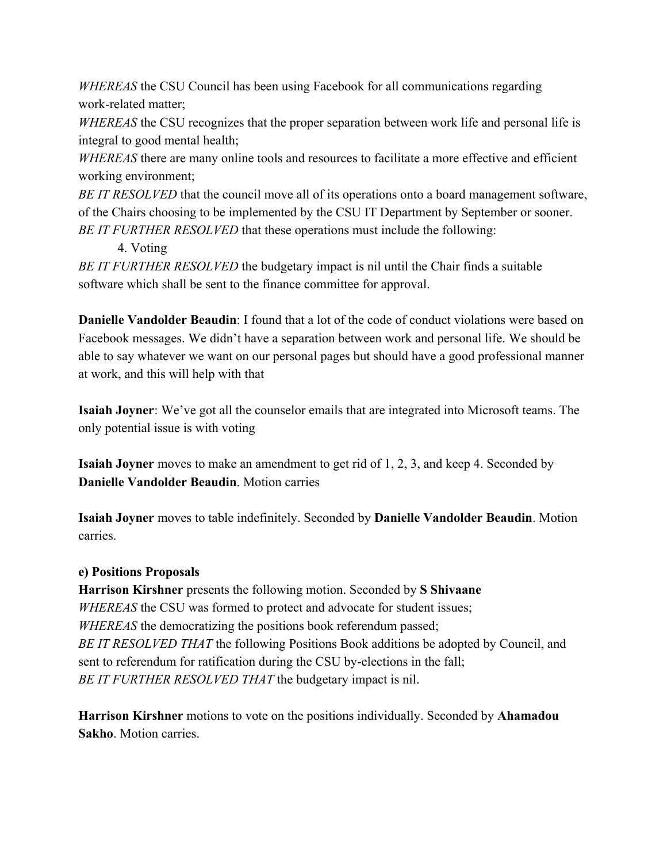*WHEREAS* the CSU Council has been using Facebook for all communications regarding work-related matter;

*WHEREAS* the CSU recognizes that the proper separation between work life and personal life is integral to good mental health;

*WHEREAS* there are many online tools and resources to facilitate a more effective and efficient working environment;

*BE IT RESOLVED* that the council move all of its operations onto a board management software, of the Chairs choosing to be implemented by the CSU IT Department by September or sooner. *BE IT FURTHER RESOLVED* that these operations must include the following:

4. Voting

*BE IT FURTHER RESOLVED* the budgetary impact is nil until the Chair finds a suitable software which shall be sent to the finance committee for approval.

**Danielle Vandolder Beaudin**: I found that a lot of the code of conduct violations were based on Facebook messages. We didn't have a separation between work and personal life. We should be able to say whatever we want on our personal pages but should have a good professional manner at work, and this will help with that

**Isaiah Joyner**: We've got all the counselor emails that are integrated into Microsoft teams. The only potential issue is with voting

**Isaiah Joyner** moves to make an amendment to get rid of 1, 2, 3, and keep 4. Seconded by **Danielle Vandolder Beaudin**. Motion carries

**Isaiah Joyner** moves to table indefinitely. Seconded by **Danielle Vandolder Beaudin**. Motion carries.

### **e) Positions Proposals**

**Harrison Kirshner** presents the following motion. Seconded by **S Shivaane** *WHEREAS* the CSU was formed to protect and advocate for student issues; *WHEREAS* the democratizing the positions book referendum passed; *BE IT RESOLVED THAT* the following Positions Book additions be adopted by Council, and sent to referendum for ratification during the CSU by-elections in the fall; *BE IT FURTHER RESOLVED THAT* the budgetary impact is nil.

**Harrison Kirshner** motions to vote on the positions individually. Seconded by **Ahamadou Sakho**. Motion carries.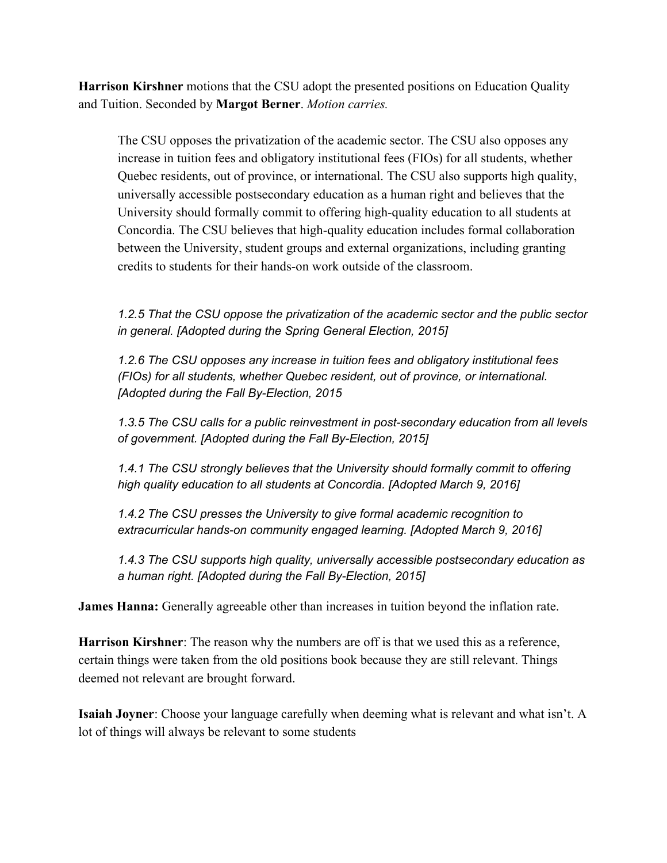**Harrison Kirshner** motions that the CSU adopt the presented positions on Education Quality and Tuition. Seconded by **Margot Berner**. *Motion carries.*

The CSU opposes the privatization of the academic sector. The CSU also opposes any increase in tuition fees and obligatory institutional fees (FIOs) for all students, whether Quebec residents, out of province, or international. The CSU also supports high quality, universally accessible postsecondary education as a human right and believes that the University should formally commit to offering high-quality education to all students at Concordia. The CSU believes that high-quality education includes formal collaboration between the University, student groups and external organizations, including granting credits to students for their hands-on work outside of the classroom.

*1.2.5 That the CSU oppose the privatization of the academic sector and the public sector in general. [Adopted during the Spring General Election, 2015]*

*1.2.6 The CSU opposes any increase in tuition fees and obligatory institutional fees (FIOs) for all students, whether Quebec resident, out of province, or international. [Adopted during the Fall By-Election, 2015*

*1.3.5 The CSU calls for a public reinvestment in post-secondary education from all levels of government. [Adopted during the Fall By-Election, 2015]*

*1.4.1 The CSU strongly believes that the University should formally commit to offering high quality education to all students at Concordia. [Adopted March 9, 2016]*

*1.4.2 The CSU presses the University to give formal academic recognition to extracurricular hands-on community engaged learning. [Adopted March 9, 2016]*

*1.4.3 The CSU supports high quality, universally accessible postsecondary education as a human right. [Adopted during the Fall By-Election, 2015]*

**James Hanna:** Generally agreeable other than increases in tuition beyond the inflation rate.

**Harrison Kirshner**: The reason why the numbers are off is that we used this as a reference, certain things were taken from the old positions book because they are still relevant. Things deemed not relevant are brought forward.

**Isaiah Joyner**: Choose your language carefully when deeming what is relevant and what isn't. A lot of things will always be relevant to some students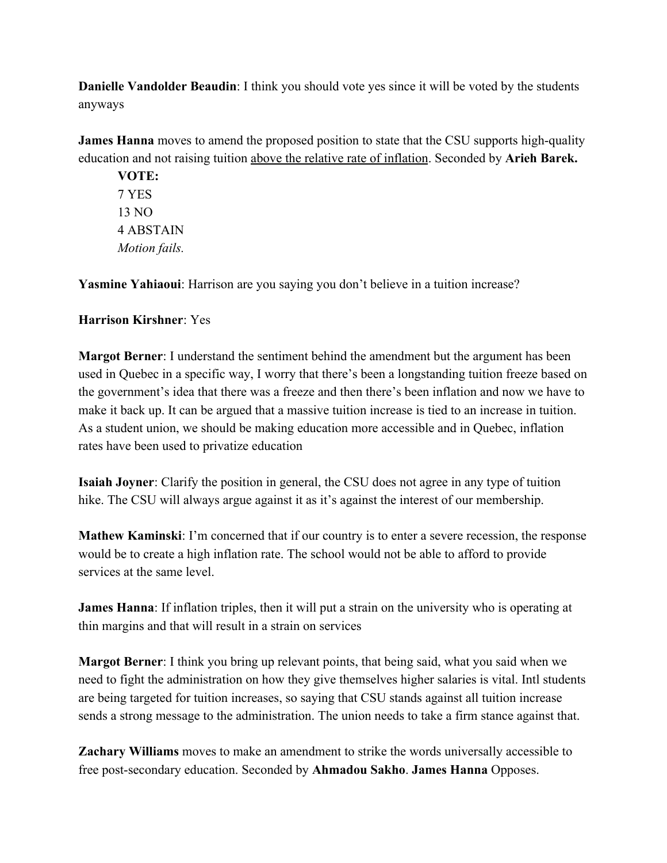**Danielle Vandolder Beaudin**: I think you should vote yes since it will be voted by the students anyways

**James Hanna** moves to amend the proposed position to state that the CSU supports high-quality education and not raising tuition above the relative rate of inflation. Seconded by **Arieh Barek.**

**VOTE:** 7 YES 13 NO 4 ABSTAIN *Motion fails.*

**Yasmine Yahiaoui**: Harrison are you saying you don't believe in a tuition increase?

### **Harrison Kirshner**: Yes

**Margot Berner**: I understand the sentiment behind the amendment but the argument has been used in Quebec in a specific way, I worry that there's been a longstanding tuition freeze based on the government's idea that there was a freeze and then there's been inflation and now we have to make it back up. It can be argued that a massive tuition increase is tied to an increase in tuition. As a student union, we should be making education more accessible and in Quebec, inflation rates have been used to privatize education

**Isaiah Joyner**: Clarify the position in general, the CSU does not agree in any type of tuition hike. The CSU will always argue against it as it's against the interest of our membership.

**Mathew Kaminski**: I'm concerned that if our country is to enter a severe recession, the response would be to create a high inflation rate. The school would not be able to afford to provide services at the same level.

**James Hanna**: If inflation triples, then it will put a strain on the university who is operating at thin margins and that will result in a strain on services

**Margot Berner**: I think you bring up relevant points, that being said, what you said when we need to fight the administration on how they give themselves higher salaries is vital. Intl students are being targeted for tuition increases, so saying that CSU stands against all tuition increase sends a strong message to the administration. The union needs to take a firm stance against that.

**Zachary Williams** moves to make an amendment to strike the words universally accessible to free post-secondary education. Seconded by **Ahmadou Sakho**. **James Hanna** Opposes.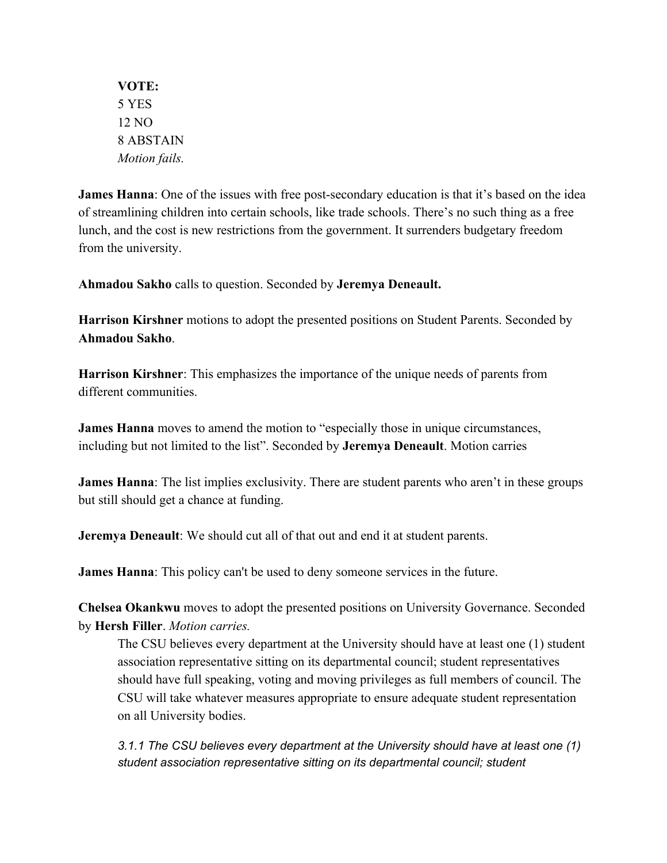**VOTE:** 5 YES 12 NO 8 ABSTAIN *Motion fails.*

**James Hanna**: One of the issues with free post-secondary education is that it's based on the idea of streamlining children into certain schools, like trade schools. There's no such thing as a free lunch, and the cost is new restrictions from the government. It surrenders budgetary freedom from the university.

**Ahmadou Sakho** calls to question. Seconded by **Jeremya Deneault.**

**Harrison Kirshner** motions to adopt the presented positions on Student Parents. Seconded by **Ahmadou Sakho**.

**Harrison Kirshner**: This emphasizes the importance of the unique needs of parents from different communities.

**James Hanna** moves to amend the motion to "especially those in unique circumstances, including but not limited to the list". Seconded by **Jeremya Deneault**. Motion carries

**James Hanna**: The list implies exclusivity. There are student parents who aren't in these groups but still should get a chance at funding.

**Jeremya Deneault**: We should cut all of that out and end it at student parents.

**James Hanna**: This policy can't be used to deny someone services in the future.

**Chelsea Okankwu** moves to adopt the presented positions on University Governance. Seconded by **Hersh Filler**. *Motion carries.*

The CSU believes every department at the University should have at least one (1) student association representative sitting on its departmental council; student representatives should have full speaking, voting and moving privileges as full members of council. The CSU will take whatever measures appropriate to ensure adequate student representation on all University bodies.

*3.1.1 The CSU believes every department at the University should have at least one (1) student association representative sitting on its departmental council; student*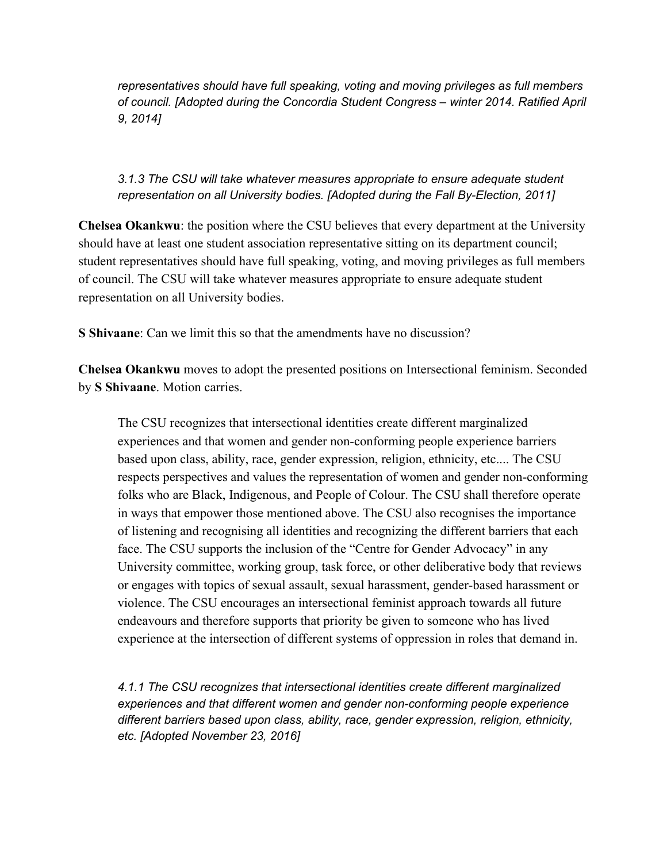*representatives should have full speaking, voting and moving privileges as full members of council. [Adopted during the Concordia Student Congress – winter 2014. Ratified April 9, 2014]*

### *3.1.3 The CSU will take whatever measures appropriate to ensure adequate student representation on all University bodies. [Adopted during the Fall By-Election, 2011]*

**Chelsea Okankwu**: the position where the CSU believes that every department at the University should have at least one student association representative sitting on its department council; student representatives should have full speaking, voting, and moving privileges as full members of council. The CSU will take whatever measures appropriate to ensure adequate student representation on all University bodies.

**S Shivaane**: Can we limit this so that the amendments have no discussion?

**Chelsea Okankwu** moves to adopt the presented positions on Intersectional feminism. Seconded by **S Shivaane**. Motion carries.

The CSU recognizes that intersectional identities create different marginalized experiences and that women and gender non-conforming people experience barriers based upon class, ability, race, gender expression, religion, ethnicity, etc.... The CSU respects perspectives and values the representation of women and gender non-conforming folks who are Black, Indigenous, and People of Colour. The CSU shall therefore operate in ways that empower those mentioned above. The CSU also recognises the importance of listening and recognising all identities and recognizing the different barriers that each face. The CSU supports the inclusion of the "Centre for Gender Advocacy" in any University committee, working group, task force, or other deliberative body that reviews or engages with topics of sexual assault, sexual harassment, gender-based harassment or violence. The CSU encourages an intersectional feminist approach towards all future endeavours and therefore supports that priority be given to someone who has lived experience at the intersection of different systems of oppression in roles that demand in.

*4.1.1 The CSU recognizes that intersectional identities create different marginalized experiences and that different women and gender non-conforming people experience different barriers based upon class, ability, race, gender expression, religion, ethnicity, etc. [Adopted November 23, 2016]*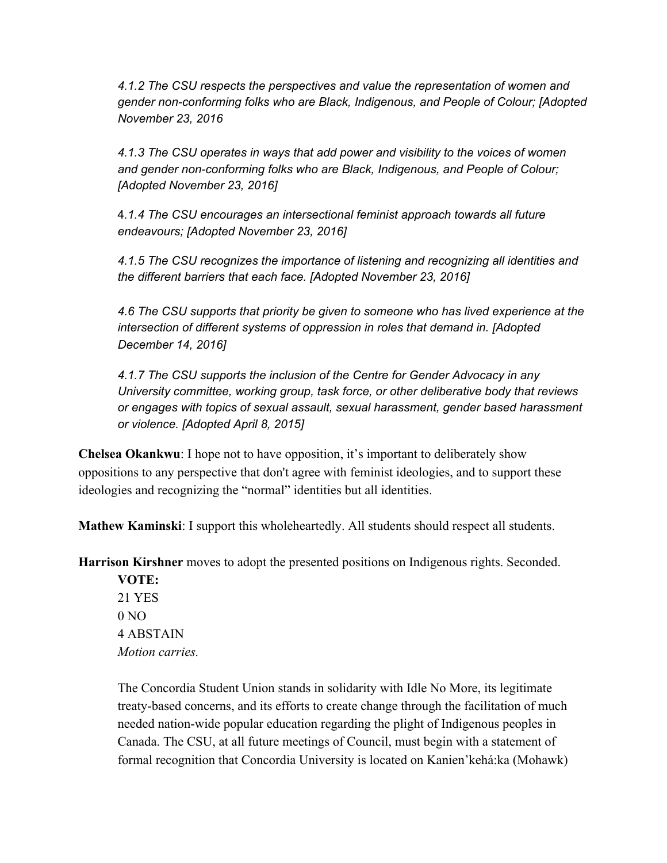*4.1.2 The CSU respects the perspectives and value the representation of women and gender non-conforming folks who are Black, Indigenous, and People of Colour; [Adopted November 23, 2016*

*4.1.3 The CSU operates in ways that add power and visibility to the voices of women and gender non-conforming folks who are Black, Indigenous, and People of Colour; [Adopted November 23, 2016]*

4*.1.4 The CSU encourages an intersectional feminist approach towards all future endeavours; [Adopted November 23, 2016]*

*4.1.5 The CSU recognizes the importance of listening and recognizing all identities and the different barriers that each face. [Adopted November 23, 2016]*

*4.6 The CSU supports that priority be given to someone who has lived experience at the intersection of different systems of oppression in roles that demand in. [Adopted December 14, 2016]*

*4.1.7 The CSU supports the inclusion of the Centre for Gender Advocacy in any University committee, working group, task force, or other deliberative body that reviews or engages with topics of sexual assault, sexual harassment, gender based harassment or violence. [Adopted April 8, 2015]*

**Chelsea Okankwu**: I hope not to have opposition, it's important to deliberately show oppositions to any perspective that don't agree with feminist ideologies, and to support these ideologies and recognizing the "normal" identities but all identities.

**Mathew Kaminski**: I support this wholeheartedly. All students should respect all students.

**Harrison Kirshner** moves to adopt the presented positions on Indigenous rights. Seconded.

**VOTE:** 21 YES  $0 NQ$ 4 ABSTAIN *Motion carries.*

The Concordia Student Union stands in solidarity with Idle No More, its legitimate treaty-based concerns, and its efforts to create change through the facilitation of much needed nation-wide popular education regarding the plight of Indigenous peoples in Canada. The CSU, at all future meetings of Council, must begin with a statement of formal recognition that Concordia University is located on Kanien'kehá:ka (Mohawk)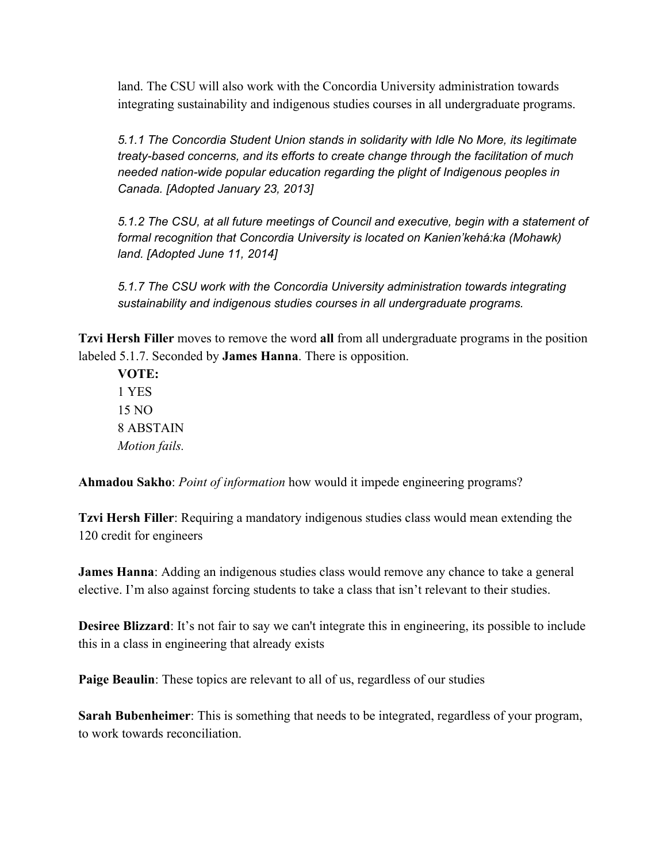land. The CSU will also work with the Concordia University administration towards integrating sustainability and indigenous studies courses in all undergraduate programs.

*5.1.1 The Concordia Student Union stands in solidarity with Idle No More, its legitimate treaty-based concerns, and its efforts to create change through the facilitation of much needed nation-wide popular education regarding the plight of Indigenous peoples in Canada. [Adopted January 23, 2013]*

*5.1.2 The CSU, at all future meetings of Council and executive, begin with a statement of formal recognition that Concordia University is located on Kanien'kehá:ka (Mohawk) land. [Adopted June 11, 2014]*

*5.1.7 The CSU work with the Concordia University administration towards integrating sustainability and indigenous studies courses in all undergraduate programs.*

**Tzvi Hersh Filler** moves to remove the word **all** from all undergraduate programs in the position labeled 5.1.7. Seconded by **James Hanna**. There is opposition.

**VOTE:** 1 YES 15 NO 8 ABSTAIN *Motion fails.*

**Ahmadou Sakho**: *Point of information* how would it impede engineering programs?

**Tzvi Hersh Filler**: Requiring a mandatory indigenous studies class would mean extending the 120 credit for engineers

**James Hanna**: Adding an indigenous studies class would remove any chance to take a general elective. I'm also against forcing students to take a class that isn't relevant to their studies.

**Desiree Blizzard**: It's not fair to say we can't integrate this in engineering, its possible to include this in a class in engineering that already exists

**Paige Beaulin**: These topics are relevant to all of us, regardless of our studies

**Sarah Bubenheimer**: This is something that needs to be integrated, regardless of your program, to work towards reconciliation.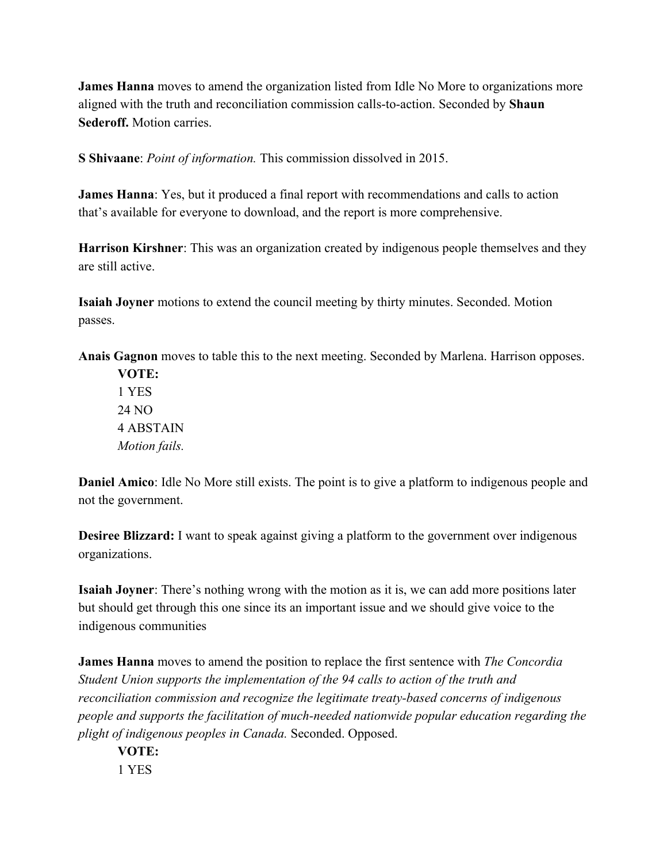**James Hanna** moves to amend the organization listed from Idle No More to organizations more aligned with the truth and reconciliation commission calls-to-action. Seconded by **Shaun Sederoff.** Motion carries.

**S Shivaane**: *Point of information.* This commission dissolved in 2015.

**James Hanna**: Yes, but it produced a final report with recommendations and calls to action that's available for everyone to download, and the report is more comprehensive.

**Harrison Kirshner**: This was an organization created by indigenous people themselves and they are still active.

**Isaiah Joyner** motions to extend the council meeting by thirty minutes. Seconded. Motion passes.

**Anais Gagnon** moves to table this to the next meeting. Seconded by Marlena. Harrison opposes.

**VOTE:** 1 YES 24 NO 4 ABSTAIN *Motion fails.*

**Daniel Amico**: Idle No More still exists. The point is to give a platform to indigenous people and not the government.

**Desiree Blizzard:** I want to speak against giving a platform to the government over indigenous organizations.

**Isaiah Joyner**: There's nothing wrong with the motion as it is, we can add more positions later but should get through this one since its an important issue and we should give voice to the indigenous communities

**James Hanna** moves to amend the position to replace the first sentence with *The Concordia Student Union supports the implementation of the 94 calls to action of the truth and reconciliation commission and recognize the legitimate treaty-based concerns of indigenous people and supports the facilitation of much-needed nationwide popular education regarding the plight of indigenous peoples in Canada.* Seconded. Opposed.

**VOTE:** 1 YES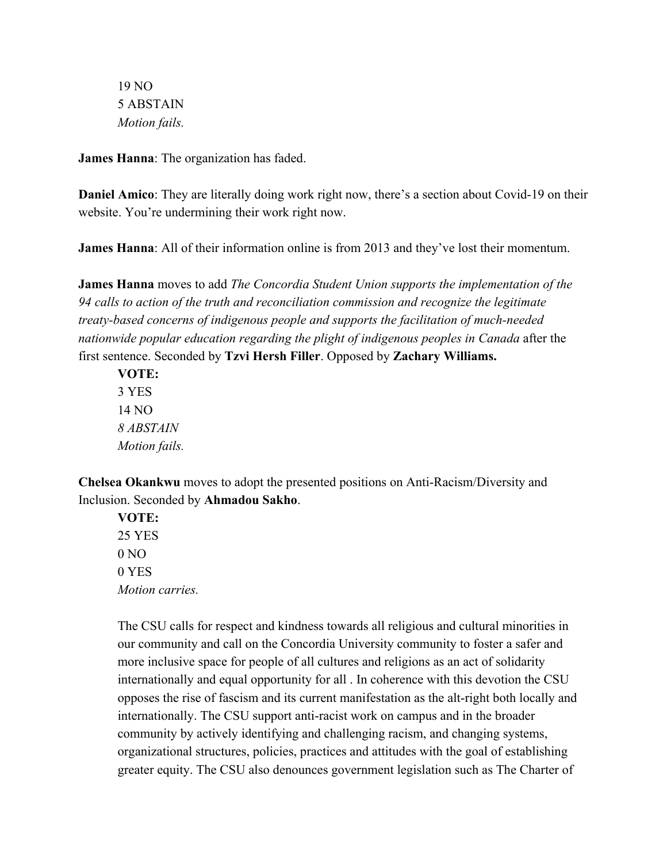19 NO 5 ABSTAIN *Motion fails.*

**James Hanna**: The organization has faded.

**Daniel Amico**: They are literally doing work right now, there's a section about Covid-19 on their website. You're undermining their work right now.

**James Hanna**: All of their information online is from 2013 and they've lost their momentum.

**James Hanna** moves to add *The Concordia Student Union supports the implementation of the 94 calls to action of the truth and reconciliation commission and recognize the legitimate treaty-based concerns of indigenous people and supports the facilitation of much-needed nationwide popular education regarding the plight of indigenous peoples in Canada* after the first sentence. Seconded by **Tzvi Hersh Filler**. Opposed by **Zachary Williams.**

**VOTE:** 3 YES 14 NO *8 ABSTAIN Motion fails.*

**Chelsea Okankwu** moves to adopt the presented positions on Anti-Racism/Diversity and Inclusion. Seconded by **Ahmadou Sakho**.

**VOTE:** 25 YES  $0 NQ$ 0 YES *Motion carries.*

The CSU calls for respect and kindness towards all religious and cultural minorities in our community and call on the Concordia University community to foster a safer and more inclusive space for people of all cultures and religions as an act of solidarity internationally and equal opportunity for all . In coherence with this devotion the CSU opposes the rise of fascism and its current manifestation as the alt-right both locally and internationally. The CSU support anti-racist work on campus and in the broader community by actively identifying and challenging racism, and changing systems, organizational structures, policies, practices and attitudes with the goal of establishing greater equity. The CSU also denounces government legislation such as The Charter of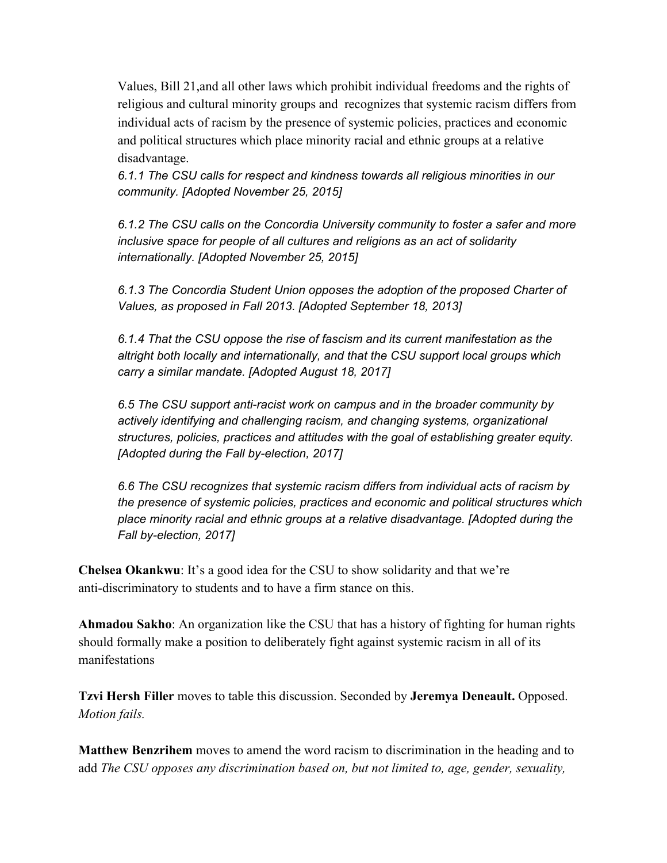Values, Bill 21,and all other laws which prohibit individual freedoms and the rights of religious and cultural minority groups and recognizes that systemic racism differs from individual acts of racism by the presence of systemic policies, practices and economic and political structures which place minority racial and ethnic groups at a relative disadvantage.

*6.1.1 The CSU calls for respect and kindness towards all religious minorities in our community. [Adopted November 25, 2015]*

*6.1.2 The CSU calls on the Concordia University community to foster a safer and more inclusive space for people of all cultures and religions as an act of solidarity internationally. [Adopted November 25, 2015]*

*6.1.3 The Concordia Student Union opposes the adoption of the proposed Charter of Values, as proposed in Fall 2013. [Adopted September 18, 2013]*

*6.1.4 That the CSU oppose the rise of fascism and its current manifestation as the altright both locally and internationally, and that the CSU support local groups which carry a similar mandate. [Adopted August 18, 2017]*

*6.5 The CSU support anti-racist work on campus and in the broader community by actively identifying and challenging racism, and changing systems, organizational structures, policies, practices and attitudes with the goal of establishing greater equity. [Adopted during the Fall by-election, 2017]*

*6.6 The CSU recognizes that systemic racism differs from individual acts of racism by the presence of systemic policies, practices and economic and political structures which place minority racial and ethnic groups at a relative disadvantage. [Adopted during the Fall by-election, 2017]*

**Chelsea Okankwu**: It's a good idea for the CSU to show solidarity and that we're anti-discriminatory to students and to have a firm stance on this.

**Ahmadou Sakho**: An organization like the CSU that has a history of fighting for human rights should formally make a position to deliberately fight against systemic racism in all of its manifestations

**Tzvi Hersh Filler** moves to table this discussion. Seconded by **Jeremya Deneault.** Opposed. *Motion fails.*

**Matthew Benzrihem** moves to amend the word racism to discrimination in the heading and to add *The CSU opposes any discrimination based on, but not limited to, age, gender, sexuality,*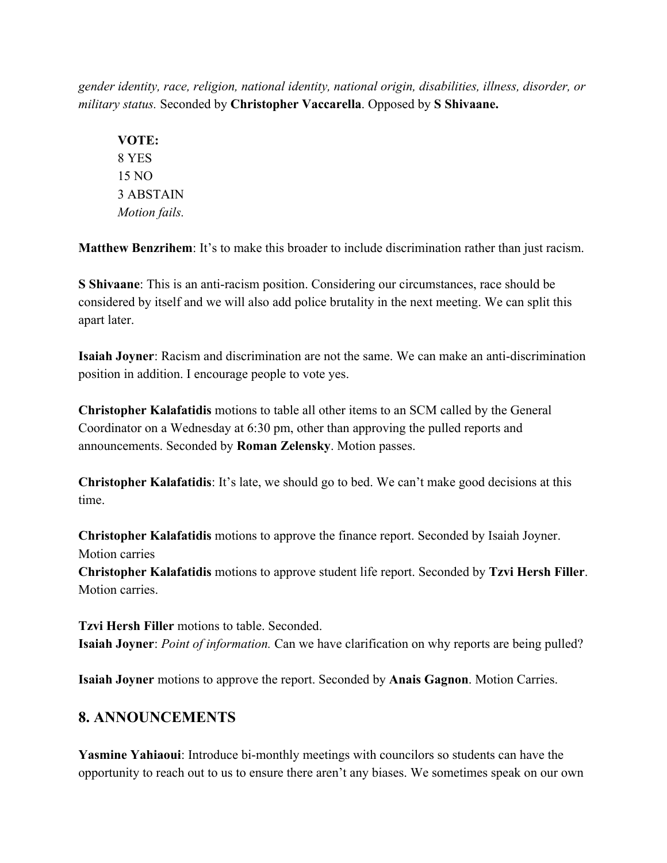*gender identity, race, religion, national identity, national origin, disabilities, illness, disorder, or military status.* Seconded by **Christopher Vaccarella**. Opposed by **S Shivaane.**

**VOTE:** 8 YES 15 NO 3 ABSTAIN *Motion fails.*

**Matthew Benzrihem**: It's to make this broader to include discrimination rather than just racism.

**S Shivaane**: This is an anti-racism position. Considering our circumstances, race should be considered by itself and we will also add police brutality in the next meeting. We can split this apart later.

**Isaiah Joyner**: Racism and discrimination are not the same. We can make an anti-discrimination position in addition. I encourage people to vote yes.

**Christopher Kalafatidis** motions to table all other items to an SCM called by the General Coordinator on a Wednesday at 6:30 pm, other than approving the pulled reports and announcements. Seconded by **Roman Zelensky**. Motion passes.

**Christopher Kalafatidis**: It's late, we should go to bed. We can't make good decisions at this time.

**Christopher Kalafatidis** motions to approve the finance report. Seconded by Isaiah Joyner. Motion carries

**Christopher Kalafatidis** motions to approve student life report. Seconded by **Tzvi Hersh Filler**. Motion carries.

**Tzvi Hersh Filler** motions to table. Seconded. **Isaiah Joyner**: *Point of information.* Can we have clarification on why reports are being pulled?

**Isaiah Joyner** motions to approve the report. Seconded by **Anais Gagnon**. Motion Carries.

### **8. ANNOUNCEMENTS**

**Yasmine Yahiaoui**: Introduce bi-monthly meetings with councilors so students can have the opportunity to reach out to us to ensure there aren't any biases. We sometimes speak on our own